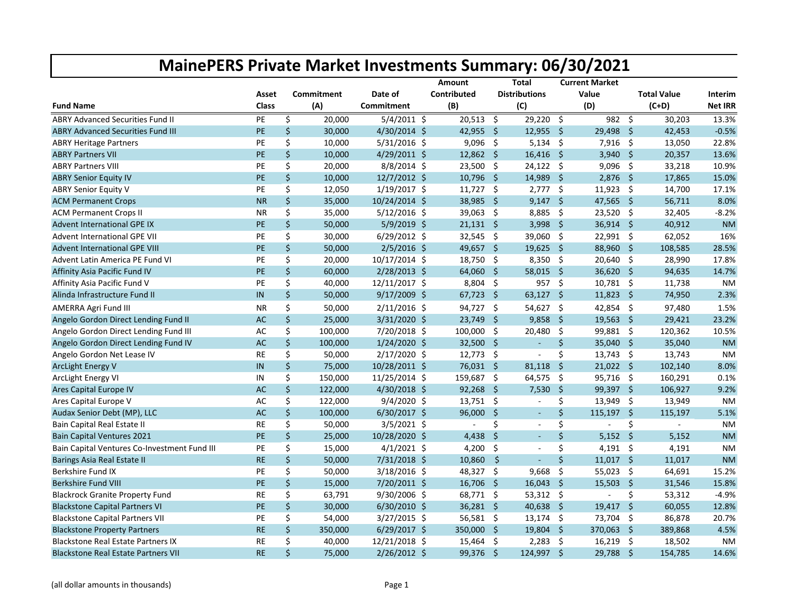|                                              |              |    |            |                | Amount      |                     | <b>Total</b>         |                     | <b>Current Market</b>    |              |                    |                |
|----------------------------------------------|--------------|----|------------|----------------|-------------|---------------------|----------------------|---------------------|--------------------------|--------------|--------------------|----------------|
|                                              | Asset        |    | Commitment | Date of        | Contributed |                     | <b>Distributions</b> |                     | Value                    |              | <b>Total Value</b> | <b>Interim</b> |
| <b>Fund Name</b>                             | <b>Class</b> |    | (A)        | Commitment     | (B)         |                     | (C)                  |                     | (D)                      |              | $(C+D)$            | <b>Net IRR</b> |
| <b>ABRY Advanced Securities Fund II</b>      | PE           | \$ | 20,000     | $5/4/2011$ \$  | 20,513      | \$                  | 29,220 \$            |                     | 982 \$                   |              | 30,203             | 13.3%          |
| <b>ABRY Advanced Securities Fund III</b>     | PE           | \$ | 30,000     | 4/30/2014 \$   | 42,955      | - \$                | 12,955               | - \$                | 29,498                   | \$           | 42,453             | $-0.5%$        |
| <b>ABRY Heritage Partners</b>                | PE           | \$ | 10,000     | $5/31/2016$ \$ | 9,096       | $\ddot{\mathsf{s}}$ | $5,134$ \$           |                     | $7,916$ \$               |              | 13,050             | 22.8%          |
| <b>ABRY Partners VII</b>                     | PE           | \$ | 10,000     | 4/29/2011 \$   | $12,862$ \$ |                     | $16,416$ \$          |                     | 3,940 \$                 |              | 20,357             | 13.6%          |
| <b>ABRY Partners VIII</b>                    | PE           | \$ | 20,000     | 8/8/2014 \$    | 23,500      | -\$                 | 24,122               | $\ddot{\mathsf{s}}$ | $9,096$ \$               |              | 33,218             | 10.9%          |
| <b>ABRY Senior Equity IV</b>                 | PE           | \$ | 10,000     | 12/7/2012 \$   | $10,796$ \$ |                     | 14,989               | - \$                | $2,876$ \$               |              | 17,865             | 15.0%          |
| <b>ABRY Senior Equity V</b>                  | PE           | \$ | 12,050     | 1/19/2017 \$   | $11,727$ \$ |                     | $2,777$ \$           |                     | $11,923$ \$              |              | 14,700             | 17.1%          |
| <b>ACM Permanent Crops</b>                   | <b>NR</b>    | \$ | 35,000     | 10/24/2014 \$  | 38,985      | -\$                 | $9,147$ \$           |                     | 47,565                   | \$           | 56,711             | 8.0%           |
| <b>ACM Permanent Crops II</b>                | ΝR           | \$ | 35,000     | $5/12/2016$ \$ | 39,063      | \$                  | 8,885                | $\ddot{\mathsf{s}}$ | $23,520$ \$              |              | 32,405             | $-8.2%$        |
| Advent International GPE IX                  | PE           | \$ | 50,000     | 5/9/2019 \$    | $21,131$ \$ |                     | 3,998 \$             |                     | 36,914                   | \$           | 40,912             | <b>NM</b>      |
| <b>Advent International GPE VII</b>          | PE           | \$ | 30,000     | $6/29/2012$ \$ | 32,545      | \$                  | 39,060               | $\ddot{\varsigma}$  | $22,991$ \$              |              | 62,052             | 16%            |
| <b>Advent International GPE VIII</b>         | PE           | \$ | 50,000     | $2/5/2016$ \$  | 49,657 \$   |                     | 19,625               | - \$                | 88,960 \$                |              | 108,585            | 28.5%          |
| Advent Latin America PE Fund VI              | PE           | \$ | 20,000     | 10/17/2014 \$  | 18,750      | -\$                 | $8,350$ \$           |                     | 20,640 \$                |              | 28,990             | 17.8%          |
| Affinity Asia Pacific Fund IV                | PE           | \$ | 60,000     | $2/28/2013$ \$ | 64,060      | -\$                 | 58,015               | - \$                | 36,620 \$                |              | 94,635             | 14.7%          |
| Affinity Asia Pacific Fund V                 | PE           | \$ | 40,000     | 12/11/2017 \$  | 8,804       | - \$                | 957                  | - \$                | $10,781$ \$              |              | 11,738             | <b>NM</b>      |
| Alinda Infrastructure Fund II                | $\sf IN$     | \$ | 50,000     | $9/17/2009$ \$ | $67,723$ \$ |                     | 63,127               | Ŝ.                  | $11,823$ \$              |              | 74,950             | 2.3%           |
| AMERRA Agri Fund III                         | NR.          | \$ | 50,000     | $2/11/2016$ \$ | 94,727 \$   |                     | 54,627               | - \$                | 42,854 \$                |              | 97,480             | 1.5%           |
| Angelo Gordon Direct Lending Fund II         | <b>AC</b>    | \$ | 25,000     | 3/31/2020 \$   | 23,749      | $\ddot{\mathsf{s}}$ | $9,858$ \$           |                     | $19,563$ \$              |              | 29,421             | 23.2%          |
| Angelo Gordon Direct Lending Fund III        | <b>AC</b>    | \$ | 100,000    | 7/20/2018 \$   | 100,000 \$  |                     | 20,480               | - \$                | 99,881 \$                |              | 120,362            | 10.5%          |
| Angelo Gordon Direct Lending Fund IV         | <b>AC</b>    | \$ | 100,000    | $1/24/2020$ \$ | 32,500      | Ŝ.                  | $\blacksquare$       | Ŝ.                  | 35,040                   | \$           | 35,040             | <b>NM</b>      |
| Angelo Gordon Net Lease IV                   | <b>RE</b>    | \$ | 50,000     | 2/17/2020 \$   | $12,773$ \$ |                     | $\sim$               | \$                  | 13,743 \$                |              | 13,743             | <b>NM</b>      |
| <b>ArcLight Energy V</b>                     | IN           | \$ | 75,000     | 10/28/2011 \$  | 76,031 \$   |                     | 81,118               | $\mathsf{S}$        | $21,022$ \$              |              | 102,140            | 8.0%           |
| <b>ArcLight Energy VI</b>                    | IN           | \$ | 150,000    | 11/25/2014 \$  | 159,687 \$  |                     | 64,575               | -\$                 | 95,716 \$                |              | 160,291            | 0.1%           |
| Ares Capital Europe IV                       | <b>AC</b>    | \$ | 122,000    | 4/30/2018 \$   | $92,268$ \$ |                     | 7,530                | Ŝ.                  | 99,397 \$                |              | 106,927            | 9.2%           |
| Ares Capital Europe V                        | AC           | \$ | 122,000    | $9/4/2020$ \$  | $13,751$ \$ |                     |                      | \$                  | 13,949 \$                |              | 13,949             | <b>NM</b>      |
| Audax Senior Debt (MP), LLC                  | AC           | \$ | 100,000    | $6/30/2017$ \$ | 96,000      | -\$                 |                      | $\zeta$             | 115,197 \$               |              | 115,197            | 5.1%           |
| Bain Capital Real Estate II                  | <b>RE</b>    | \$ | 50,000     | $3/5/2021$ \$  | $\sim$      | \$                  | $\sim$               | \$                  | $\mathbf{r}$             | \$           | $\sim$             | <b>NM</b>      |
| <b>Bain Capital Ventures 2021</b>            | PE           | \$ | 25,000     | 10/28/2020 \$  | 4,438       | $\zeta$             | $\sim$               | \$                  | 5,152                    | $\zeta$      | 5,152              | <b>NM</b>      |
| Bain Capital Ventures Co-Investment Fund III | PE           | \$ | 15,000     | $4/1/2021$ \$  | 4,200       | \$                  | $\sim$               | \$                  | 4,191 \$                 |              | 4,191              | NM             |
| Barings Asia Real Estate II                  | <b>RE</b>    | \$ | 50,000     | 7/31/2018 \$   | 10,860      | \$                  |                      | \$                  | $11,017$ \$              |              | 11,017             | <b>NM</b>      |
| <b>Berkshire Fund IX</b>                     | PE           | \$ | 50,000     | $3/18/2016$ \$ | 48,327 \$   |                     | 9,668                | $\zeta$             | 55,023 \$                |              | 64,691             | 15.2%          |
| <b>Berkshire Fund VIII</b>                   | PE           | \$ | 15,000     | 7/20/2011 \$   | 16,706 \$   |                     | 16,043               | $\ddot{\mathsf{s}}$ | $15,503$ \$              |              | 31,546             | 15.8%          |
| <b>Blackrock Granite Property Fund</b>       | RE           | \$ | 63,791     | $9/30/2006$ \$ | 68,771 \$   |                     | $53,312$ \$          |                     | $\overline{\phantom{a}}$ | \$           | 53,312             | $-4.9%$        |
| <b>Blackstone Capital Partners VI</b>        | <b>PE</b>    | \$ | 30,000     | $6/30/2010$ \$ | $36,281$ \$ |                     | 40,638               | - \$                | 19,417                   | $\mathsf{S}$ | 60,055             | 12.8%          |
| <b>Blackstone Capital Partners VII</b>       | PE           | \$ | 54,000     | $3/27/2015$ \$ | $56,581$ \$ |                     | $13,174$ \$          |                     | 73,704 \$                |              | 86,878             | 20.7%          |
| <b>Blackstone Property Partners</b>          | <b>RE</b>    | \$ | 350,000    | $6/29/2017$ \$ | 350,000     | -\$                 | 19,804               | \$                  | 370,063                  | Ŝ.           | 389,868            | 4.5%           |
| <b>Blackstone Real Estate Partners IX</b>    | RE           | \$ | 40,000     | 12/21/2018 \$  | 15,464      | \$                  | 2,283                | - \$                | $16,219$ \$              |              | 18,502             | <b>NM</b>      |
| <b>Blackstone Real Estate Partners VII</b>   | <b>RE</b>    | \$ | 75,000     | $2/26/2012$ \$ | 99,376 \$   |                     | $124,997$ \$         |                     | 29,788 \$                |              | 154,785            | 14.6%          |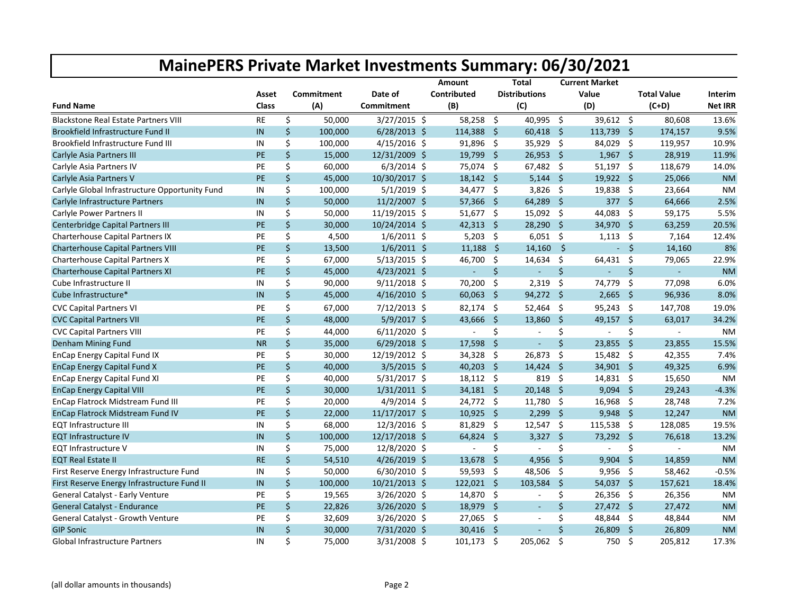|                                                |               |    |            |                | <b>Amount</b>            |                     | Total                |                     | <b>Current Market</b> |              |                    |                |
|------------------------------------------------|---------------|----|------------|----------------|--------------------------|---------------------|----------------------|---------------------|-----------------------|--------------|--------------------|----------------|
|                                                | Asset         |    | Commitment | Date of        | Contributed              |                     | <b>Distributions</b> |                     | Value                 |              | <b>Total Value</b> | Interim        |
| <b>Fund Name</b>                               | Class         |    | (A)        | Commitment     | (B)                      |                     | (C)                  |                     | (D)                   |              | $(C+D)$            | <b>Net IRR</b> |
| <b>Blackstone Real Estate Partners VIII</b>    | <b>RE</b>     | \$ | 50,000     | $3/27/2015$ \$ | 58,258                   | Ŝ.                  | 40,995               | \$                  | 39,612                | -\$          | 80,608             | 13.6%          |
| Brookfield Infrastructure Fund II              | IN            | \$ | 100,000    | $6/28/2013$ \$ | 114,388 \$               |                     | $60,418$ \$          |                     | 113,739 \$            |              | 174,157            | 9.5%           |
| Brookfield Infrastructure Fund III             | IN            | \$ | 100,000    | $4/15/2016$ \$ | 91,896 \$                |                     | 35,929 \$            |                     | 84,029 \$             |              | 119,957            | 10.9%          |
| Carlyle Asia Partners III                      | <b>PE</b>     | \$ | 15,000     | 12/31/2009 \$  | 19,799                   | -\$                 | 26,953               | Ŝ.                  | 1,967                 | $\mathsf{S}$ | 28,919             | 11.9%          |
| Carlyle Asia Partners IV                       | PE            | \$ | 60,000     | $6/3/2014$ \$  | 75,074 \$                |                     | 67,482               | - \$                | $51,197$ \$           |              | 118,679            | 14.0%          |
| Carlyle Asia Partners V                        | <b>PE</b>     | Ś. | 45,000     | 10/30/2017 \$  | $18,142 \div$            |                     | $5,144$ \$           |                     | $19,922$ \$           |              | 25,066             | <b>NM</b>      |
| Carlyle Global Infrastructure Opportunity Fund | IN            | \$ | 100,000    | $5/1/2019$ \$  | 34,477 \$                |                     | $3,826$ \$           |                     | $19,838$ \$           |              | 23,664             | <b>NM</b>      |
| Carlyle Infrastructure Partners                | IN            | \$ | 50,000     | 11/2/2007 \$   | 57,366                   | - \$                | 64,289               | $\mathsf{S}$        | 377 \$                |              | 64,666             | 2.5%           |
| Carlyle Power Partners II                      | IN            | \$ | 50,000     | 11/19/2015 \$  | $51,677$ \$              |                     | 15,092 \$            |                     | 44,083 \$             |              | 59,175             | 5.5%           |
| Centerbridge Capital Partners III              | <b>PE</b>     | \$ | 30,000     | 10/24/2014 \$  | $42,313$ \$              |                     | 28,290 \$            |                     | 34,970 \$             |              | 63,259             | 20.5%          |
| <b>Charterhouse Capital Partners IX</b>        | PE            | \$ | 4,500      | $1/6/2011$ \$  | $5,203$ \$               |                     | $6,051$ \$           |                     | $1,113$ \$            |              | 7,164              | 12.4%          |
| Charterhouse Capital Partners VIII             | PE            | \$ | 13,500     | $1/6/2011$ \$  | 11,188                   | -\$                 | 14,160               | $\ddot{\mathsf{s}}$ |                       | $-5$         | 14,160             | 8%             |
| Charterhouse Capital Partners X                | PE            | \$ | 67,000     | $5/13/2015$ \$ | 46,700 \$                |                     | 14,634               | \$                  | 64,431                | -\$          | 79,065             | 22.9%          |
| Charterhouse Capital Partners XI               | <b>PE</b>     | \$ | 45,000     | $4/23/2021$ \$ | ÷                        | \$                  | $\omega$             | $\zeta$             | ÷.                    | \$           | ÷.                 | <b>NM</b>      |
| Cube Infrastructure II                         | IN            | \$ | 90,000     | $9/11/2018$ \$ | 70,200                   | \$                  | 2,319                | \$                  | 74,779                | \$           | 77,098             | 6.0%           |
| Cube Infrastructure*                           | IN            | \$ | 45,000     | $4/16/2010$ \$ | 60,063                   | - \$                | 94,272               | - \$                | 2,665                 | \$           | 96,936             | 8.0%           |
| <b>CVC Capital Partners VI</b>                 | PE            | \$ | 67,000     | 7/12/2013 \$   | $82,174$ \$              |                     | 52,464               | -\$                 | $95,243$ \$           |              | 147,708            | 19.0%          |
| <b>CVC Capital Partners VII</b>                | PE            | \$ | 48,000     | 5/9/2017 \$    | 43,666                   | $\ddot{\mathsf{s}}$ | 13,860               | $\mathsf{S}$        | 49,157                | $\mathsf{S}$ | 63,017             | 34.2%          |
| <b>CVC Capital Partners VIII</b>               | PE            | \$ | 44,000     | $6/11/2020$ \$ | $\sim$                   | \$                  | $\omega$             | \$                  | $\blacksquare$        | \$           | $\blacksquare$     | <b>NM</b>      |
| Denham Mining Fund                             | <b>NR</b>     | \$ | 35,000     | $6/29/2018$ \$ | 17,598                   | \$                  | $\sim$               | Ś.                  | 23,855                | $\mathsf{S}$ | 23,855             | 15.5%          |
| EnCap Energy Capital Fund IX                   | PE            | \$ | 30,000     | 12/19/2012 \$  | 34,328                   | -\$                 | 26,873               | \$                  | 15,482                | - \$         | 42,355             | 7.4%           |
| <b>EnCap Energy Capital Fund X</b>             | <b>PE</b>     | \$ | 40,000     | $3/5/2015$ \$  | $40,203$ \$              |                     | 14,424               | $\ddot{\mathsf{s}}$ | 34,901 \$             |              | 49,325             | 6.9%           |
| <b>EnCap Energy Capital Fund XI</b>            | PE            | \$ | 40,000     | $5/31/2017$ \$ | $18,112$ \$              |                     | 819                  | Ŝ.                  | $14,831$ \$           |              | 15,650             | <b>NM</b>      |
| <b>EnCap Energy Capital VIII</b>               | <b>PE</b>     | \$ | 30,000     | $1/31/2011$ \$ | $34,181$ \$              |                     | 20,148               | Ŝ.                  | 9,094                 | -Ś           | 29,243             | $-4.3%$        |
| EnCap Flatrock Midstream Fund III              | PE            | \$ | 20,000     | 4/9/2014 \$    | 24,772 \$                |                     | 11,780               | \$                  | 16,968                | -\$          | 28,748             | 7.2%           |
| EnCap Flatrock Midstream Fund IV               | <b>PE</b>     | \$ | 22,000     | 11/17/2017 \$  | $10,925$ \$              |                     | $2,299$ \$           |                     | $9,948$ \$            |              | 12,247             | <b>NM</b>      |
| <b>EQT Infrastructure III</b>                  | IN            | \$ | 68,000     | 12/3/2016 \$   | 81,829 \$                |                     | $12,547$ \$          |                     | 115,538 \$            |              | 128,085            | 19.5%          |
| <b>EQT Infrastructure IV</b>                   | IN            | \$ | 100,000    | 12/17/2018 \$  | 64,824                   | \$                  | 3,327                | Ŝ.                  | 73,292                | Ŝ.           | 76,618             | 13.2%          |
| EQT Infrastructure V                           | IN            | \$ | 75,000     | 12/8/2020 \$   | $\overline{\phantom{a}}$ | \$                  | $\sim$               | \$                  | $\mathbf{r}$          | \$           | $\sim$             | <b>NM</b>      |
| <b>EQT Real Estate II</b>                      | <b>RE</b>     | \$ | 54,510     | $4/26/2019$ \$ | $13,678$ \$              |                     | 4,956                | - \$                | $9,904$ \$            |              | 14,859             | <b>NM</b>      |
| First Reserve Energy Infrastructure Fund       | IN            | \$ | 50,000     | $6/30/2010$ \$ | 59,593 \$                |                     | 48,506               | \$                  | 9,956                 | -\$          | 58,462             | $-0.5%$        |
| First Reserve Energy Infrastructure Fund II    | $\mathsf{IN}$ | \$ | 100,000    | 10/21/2013 \$  | 122,021 \$               |                     | 103,584              | $\mathsf{S}$        | $54,037$ \$           |              | 157,621            | 18.4%          |
| General Catalyst - Early Venture               | PE            | \$ | 19,565     | 3/26/2020 \$   | 14,870 \$                |                     | $\sim$               | \$                  | 26,356                | -\$          | 26,356             | <b>NM</b>      |
| General Catalyst - Endurance                   | PE            | \$ | 22,826     | 3/26/2020 \$   | 18,979 \$                |                     | $\sim$               | \$                  | $27,472$ \$           |              | 27,472             | <b>NM</b>      |
| General Catalyst - Growth Venture              | PE            | \$ | 32,609     | 3/26/2020 \$   | 27,065 \$                |                     | $\sim$               | \$                  | 48,844 \$             |              | 48,844             | <b>NM</b>      |
| <b>GIP Sonic</b>                               | IN            | \$ | 30,000     | 7/31/2020 \$   | 30,416                   | - \$                |                      | \$                  | 26,809                | \$           | 26,809             | <b>NM</b>      |
| <b>Global Infrastructure Partners</b>          | IN            | \$ | 75.000     | 3/31/2008 \$   | 101,173                  | Ŝ.                  | 205.062              | Ŝ.                  | 750                   | Ŝ.           | 205,812            | 17.3%          |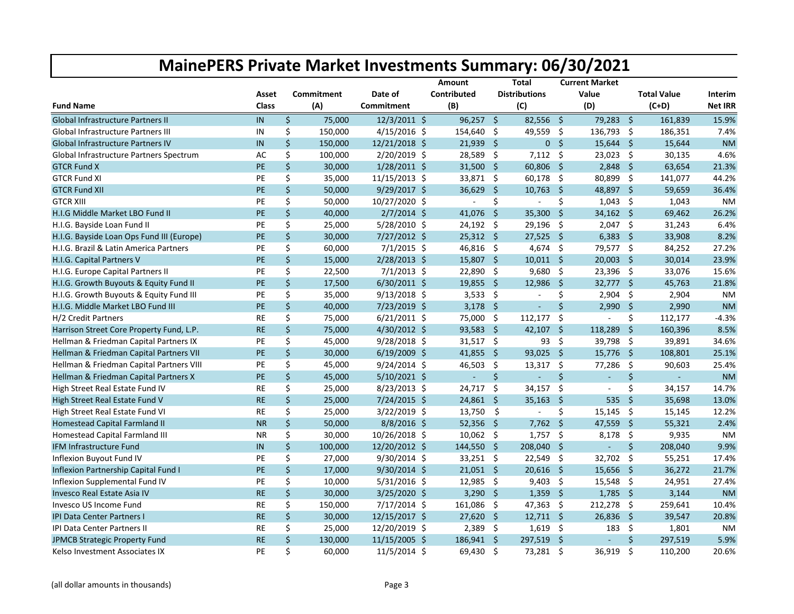|                                           |           |                   |                 | Amount                   |                     | Total                |                     | <b>Current Market</b>    |                     |                    |                |
|-------------------------------------------|-----------|-------------------|-----------------|--------------------------|---------------------|----------------------|---------------------|--------------------------|---------------------|--------------------|----------------|
|                                           | Asset     | <b>Commitment</b> | Date of         | Contributed              |                     | <b>Distributions</b> |                     | Value                    |                     | <b>Total Value</b> | Interim        |
| <b>Fund Name</b>                          | Class     | (A)               | Commitment      | (B)                      |                     | (C)                  |                     | (D)                      |                     | $(C+D)$            | <b>Net IRR</b> |
| <b>Global Infrastructure Partners II</b>  | IN        | \$<br>75,000      | 12/3/2011 \$    | $96,257$ \$              |                     | $82,556$ \$          |                     | 79,283 \$                |                     | 161,839            | 15.9%          |
| <b>Global Infrastructure Partners III</b> | IN        | \$<br>150,000     | $4/15/2016$ \$  | 154,640                  | - \$                | 49,559 \$            |                     | 136,793 \$               |                     | 186,351            | 7.4%           |
| Global Infrastructure Partners IV         | IN        | \$<br>150,000     | 12/21/2018 \$   | 21,939                   | -\$                 |                      | 0 <sup>5</sup>      | 15,644                   | -\$                 | 15,644             | <b>NM</b>      |
| Global Infrastructure Partners Spectrum   | AC        | \$<br>100,000     | $2/20/2019$ \$  | 28,589                   | -\$                 | $7,112$ \$           |                     | $23,023$ \$              |                     | 30,135             | 4.6%           |
| <b>GTCR Fund X</b>                        | PE        | \$<br>30,000      | $1/28/2011$ \$  | 31,500                   | - \$                | 60,806               | - \$                | 2,848                    | $\mathsf{S}$        | 63,654             | 21.3%          |
| <b>GTCR Fund XI</b>                       | PE        | \$<br>35,000      | 11/15/2013 \$   | 33,871 \$                |                     | 60,178               | $\ddot{\mathsf{s}}$ | 80,899 \$                |                     | 141,077            | 44.2%          |
| <b>GTCR Fund XII</b>                      | PE        | \$<br>50,000      | 9/29/2017 \$    | $36,629$ \$              |                     | 10,763               | - \$                | 48,897 \$                |                     | 59,659             | 36.4%          |
| <b>GTCR XIII</b>                          | PE        | \$<br>50,000      | 10/27/2020 \$   | $\overline{\phantom{a}}$ | \$                  |                      | \$                  | $1,043$ \$               |                     | 1,043              | <b>NM</b>      |
| H.I.G Middle Market LBO Fund II           | PE        | \$<br>40,000      | $2/7/2014$ \$   | 41,076                   | $\ddot{\mathsf{s}}$ | 35,300               | $\ddot{\mathsf{s}}$ | $34,162$ \$              |                     | 69,462             | 26.2%          |
| H.I.G. Bayside Loan Fund II               | PE        | \$<br>25,000      | 5/28/2010 \$    | $24,192$ \$              |                     | 29,196 \$            |                     | $2,047$ \$               |                     | 31,243             | 6.4%           |
| H.I.G. Bayside Loan Ops Fund III (Europe) | PE        | \$<br>30,000      | 7/27/2012 \$    | $25,312$ \$              |                     | 27,525               | $\ddot{\mathsf{s}}$ | $6,383$ \$               |                     | 33,908             | 8.2%           |
| H.I.G. Brazil & Latin America Partners    | PE        | \$<br>60,000      | $7/1/2015$ \$   | 46,816 \$                |                     | 4,674 \$             |                     | 79,577 \$                |                     | 84,252             | 27.2%          |
| H.I.G. Capital Partners V                 | PE        | \$<br>15,000      | $2/28/2013$ \$  | $15,807$ \$              |                     | $10,011$ \$          |                     | 20,003                   | Ŝ.                  | 30,014             | 23.9%          |
| H.I.G. Europe Capital Partners II         | PE        | \$<br>22,500      | $7/1/2013$ \$   | 22,890                   | -\$                 | 9,680                | - \$                | $23,396$ \$              |                     | 33,076             | 15.6%          |
| H.I.G. Growth Buyouts & Equity Fund II    | PE        | \$<br>17,500      | $6/30/2011$ \$  | $19,855$ \$              |                     | 12,986               | $\mathsf{S}$        | $32,777$ \$              |                     | 45,763             | 21.8%          |
| H.I.G. Growth Buyouts & Equity Fund III   | PE        | \$<br>35,000      | $9/13/2018$ \$  | $3,533$ \$               |                     | $\sim$               | \$                  | $2,904$ \$               |                     | 2,904              | <b>NM</b>      |
| H.I.G. Middle Market LBO Fund III         | PE        | \$<br>40,000      | 7/23/2019 \$    | 3,178                    | $\ddot{\mathsf{s}}$ | $\sim$               | \$                  | 2,990                    | $\ddot{\mathsf{S}}$ | 2,990              | <b>NM</b>      |
| H/2 Credit Partners                       | <b>RE</b> | \$<br>75,000      | $6/21/2011$ \$  | 75,000 \$                |                     | 112,177              | \$                  | $\sim$                   | \$                  | 112,177            | $-4.3%$        |
| Harrison Street Core Property Fund, L.P.  | <b>RE</b> | \$<br>75,000      | 4/30/2012 \$    | 93,583                   | -\$                 | 42,107               | $\mathsf{S}$        | 118,289                  | $\mathsf{\hat{S}}$  | 160,396            | 8.5%           |
| Hellman & Friedman Capital Partners IX    | PE        | \$<br>45,000      | 9/28/2018 \$    | 31,517 \$                |                     | 93                   | $\ddot{\mathsf{S}}$ | 39,798                   | -\$                 | 39,891             | 34.6%          |
| Hellman & Friedman Capital Partners VII   | PE        | \$<br>30,000      | $6/19/2009$ \$  | 41,855 \$                |                     | 93,025               | - \$                | $15,776$ \$              |                     | 108,801            | 25.1%          |
| Hellman & Friedman Capital Partners VIII  | PE        | \$<br>45,000      | $9/24/2014$ \$  | 46,503                   | -\$                 | $13,317$ \$          |                     | 77,286                   | \$                  | 90,603             | 25.4%          |
| Hellman & Friedman Capital Partners X     | PE        | \$<br>45,000      | $5/10/2021$ \$  | $\omega$                 | \$                  | $\equiv$             | $\mathsf{\dot{S}}$  | ä,                       | \$                  | ä,                 | <b>NM</b>      |
| High Street Real Estate Fund IV           | <b>RE</b> | \$<br>25,000      | 8/23/2013 \$    | 24,717                   | -\$                 | $34,157$ \$          |                     | $\blacksquare$           | \$                  | 34,157             | 14.7%          |
| High Street Real Estate Fund V            | <b>RE</b> | \$<br>25,000      | 7/24/2015 \$    | $24,861$ \$              |                     | 35,163               | \$                  | 535                      | $\mathsf{\hat{S}}$  | 35,698             | 13.0%          |
| High Street Real Estate Fund VI           | RE        | \$<br>25,000      | $3/22/2019$ \$  | 13,750                   | \$                  | $\omega$             | \$                  | $15,145$ \$              |                     | 15,145             | 12.2%          |
| <b>Homestead Capital Farmland II</b>      | <b>NR</b> | \$<br>50,000      | 8/8/2016 \$     | 52,356                   | - \$                | 7,762                | $\ddot{\mathsf{s}}$ | 47,559                   | $\mathsf{S}$        | 55,321             | 2.4%           |
| Homestead Capital Farmland III            | ΝR        | \$<br>30,000      | 10/26/2018 \$   | 10,062                   | - \$                | 1,757                | - \$                | 8,178                    | \$                  | 9,935              | <b>NM</b>      |
| IFM Infrastructure Fund                   | IN        | \$<br>100,000     | 12/20/2012 \$   | 144,550 \$               |                     | 208,040 \$           |                     | Ξ                        | $\zeta$             | 208,040            | 9.9%           |
| Inflexion Buyout Fund IV                  | PE        | \$<br>27,000      | 9/30/2014 \$    | 33,251 \$                |                     | 22,549               | $\ddot{\mathsf{s}}$ | 32,702                   | \$                  | 55,251             | 17.4%          |
| Inflexion Partnership Capital Fund I      | PE        | \$<br>17,000      | 9/30/2014 \$    | $21,051$ \$              |                     | $20,616$ \$          |                     | 15,656                   | $\frac{1}{2}$       | 36,272             | 21.7%          |
| Inflexion Supplemental Fund IV            | PE        | \$<br>10,000      | $5/31/2016$ \$  | 12,985                   | -\$                 | $9,403$ \$           |                     | $15,548$ \$              |                     | 24,951             | 27.4%          |
| <b>Invesco Real Estate Asia IV</b>        | <b>RE</b> | \$<br>30,000      | 3/25/2020 \$    | 3,290                    | -\$                 | 1,359                | $\mathsf{S}$        | $1,785$ \$               |                     | 3,144              | <b>NM</b>      |
| <b>Invesco US Income Fund</b>             | <b>RE</b> | \$<br>150,000     | $7/17/2014$ \$  | 161,086                  | -\$                 | 47,363               | $\ddot{\varsigma}$  | 212,278                  | \$                  | 259,641            | 10.4%          |
| <b>IPI Data Center Partners I</b>         | <b>RE</b> | \$<br>30,000      | 12/15/2017 \$   | 27,620                   | - \$                | $12,711$ \$          |                     | 26,836                   | Ŝ.                  | 39,547             | 20.8%          |
| <b>IPI Data Center Partners II</b>        | RE        | \$<br>25,000      | 12/20/2019 \$   | 2,389                    | -\$                 | $1,619$ \$           |                     | 183                      | \$                  | 1,801              | <b>NM</b>      |
| <b>JPMCB Strategic Property Fund</b>      | <b>RE</b> | \$<br>130,000     | $11/15/2005$ \$ | 186,941 \$               |                     | 297,519 \$           |                     | $\overline{\phantom{a}}$ | \$                  | 297,519            | 5.9%           |
| Kelso Investment Associates IX            | PE        | \$<br>60,000      | $11/5/2014$ \$  | 69,430 \$                |                     | 73,281 \$            |                     | 36,919 \$                |                     | 110,200            | 20.6%          |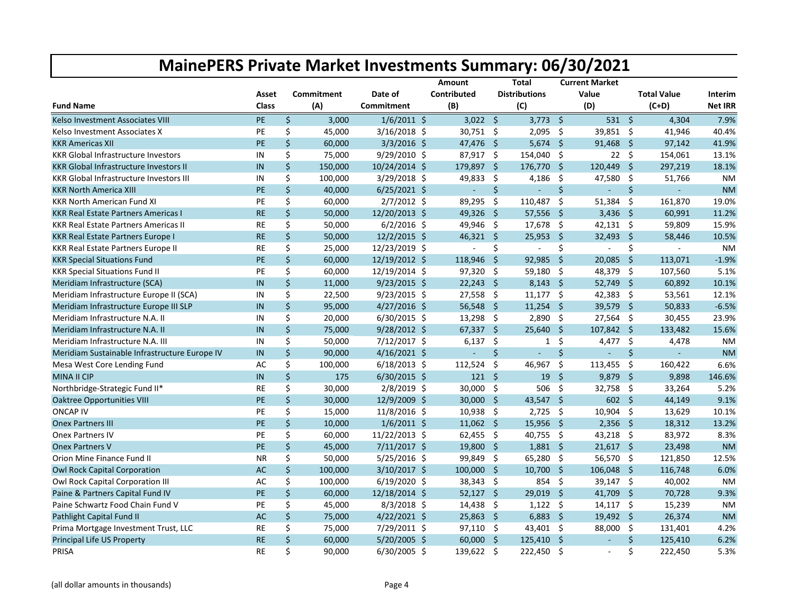|                                                |           |                   |                | Amount       |                     | <b>Total</b>         |                     | <b>Current Market</b> |                    |                    |                |
|------------------------------------------------|-----------|-------------------|----------------|--------------|---------------------|----------------------|---------------------|-----------------------|--------------------|--------------------|----------------|
|                                                | Asset     | <b>Commitment</b> | Date of        | Contributed  |                     | <b>Distributions</b> |                     | Value                 |                    | <b>Total Value</b> | Interim        |
| <b>Fund Name</b>                               | Class     | (A)               | Commitment     | (B)          |                     | (C)                  |                     | (D)                   |                    | $(C+D)$            | <b>Net IRR</b> |
| Kelso Investment Associates VIII               | <b>PE</b> | \$<br>3,000       | $1/6/2011$ \$  | $3,022$ \$   |                     | $3,773$ \$           |                     | $531 \quad $$         |                    | 4,304              | 7.9%           |
| Kelso Investment Associates X                  | PE        | \$<br>45,000      | $3/16/2018$ \$ | 30,751 \$    |                     | 2,095                | - \$                | 39,851 \$             |                    | 41,946             | 40.4%          |
| <b>KKR Americas XII</b>                        | PE        | \$<br>60,000      | $3/3/2016$ \$  | 47,476 \$    |                     | $5,674$ \$           |                     | 91,468                | Ŝ.                 | 97,142             | 41.9%          |
| <b>KKR Global Infrastructure Investors</b>     | IN        | \$<br>75,000      | 9/29/2010 \$   | 87,917 \$    |                     | 154,040 \$           |                     | $22 \div$             |                    | 154,061            | 13.1%          |
| <b>KKR Global Infrastructure Investors II</b>  | IN        | \$<br>150,000     | 10/24/2014 \$  | 179,897      | - \$                | 176,770              | $\mathsf{S}$        | 120,449               | $\zeta$            | 297,219            | 18.1%          |
| <b>KKR Global Infrastructure Investors III</b> | IN        | \$<br>100,000     | 3/29/2018 \$   | 49,833       | \$                  | 4,186                | \$                  | 47,580                | \$                 | 51,766             | <b>NM</b>      |
| <b>KKR North America XIII</b>                  | PE        | \$<br>40,000      | $6/25/2021$ \$ | $\Box$       | Ś.                  | $\omega$             | $\mathsf{S}$        | ä,                    | $\mathsf{\dot{S}}$ |                    | <b>NM</b>      |
| <b>KKR North American Fund XI</b>              | PE        | \$<br>60,000      | $2/7/2012$ \$  | 89,295       | -\$                 | 110,487              | -\$                 | $51,384$ \$           |                    | 161,870            | 19.0%          |
| <b>KKR Real Estate Partners Americas I</b>     | <b>RE</b> | \$<br>50,000      | 12/20/2013 \$  | 49,326       | - \$                | 57,556               | - \$                | 3,436                 | $\mathsf{S}$       | 60,991             | 11.2%          |
| <b>KKR Real Estate Partners Americas II</b>    | RE        | \$<br>50,000      | $6/2/2016$ \$  | 49,946 \$    |                     | 17,678               | - \$                | $42,131$ \$           |                    | 59,809             | 15.9%          |
| <b>KKR Real Estate Partners Europe I</b>       | <b>RE</b> | \$<br>50,000      | 12/2/2015 \$   | $46,321$ \$  |                     | 25,953               | \$                  | 32,493                | $\mathsf{S}$       | 58,446             | 10.5%          |
| <b>KKR Real Estate Partners Europe II</b>      | <b>RE</b> | \$<br>25,000      | 12/23/2019 \$  | $\mathbf{r}$ | \$                  | $\sim$               | \$                  | $\blacksquare$        | \$                 | $\sim$             | <b>NM</b>      |
| <b>KKR Special Situations Fund</b>             | <b>PE</b> | \$<br>60,000      | 12/19/2012 \$  | 118,946      | -\$                 | 92,985               | Ŝ.                  | 20,085                | $\zeta$            | 113,071            | $-1.9%$        |
| <b>KKR Special Situations Fund II</b>          | PE        | \$<br>60,000      | 12/19/2014 \$  | 97,320       | -\$                 | 59,180               | -\$                 | 48,379                | \$                 | 107,560            | 5.1%           |
| Meridiam Infrastructure (SCA)                  | IN        | \$<br>11,000      | 9/23/2015 \$   | $22,243$ \$  |                     | $8,143$ \$           |                     | 52,749 \$             |                    | 60,892             | 10.1%          |
| Meridiam Infrastructure Europe II (SCA)        | IN        | \$<br>22,500      | $9/23/2015$ \$ | $27,558$ \$  |                     | 11,177               | $\ddot{\mathsf{s}}$ | 42,383                | -\$                | 53,561             | 12.1%          |
| Meridiam Infrastructure Europe III SLP         | IN        | \$<br>95,000      | $4/27/2016$ \$ | 56,548       | -\$                 | $11,254$ \$          |                     | 39,579                | $\mathsf{S}$       | 50,833             | $-6.5%$        |
| Meridiam Infrastructure N.A. II                | IN        | \$<br>20,000      | 6/30/2015 \$   | $13,298$ \$  |                     | $2,890$ \$           |                     | 27,564 \$             |                    | 30,455             | 23.9%          |
| Meridiam Infrastructure N.A. II                | IN        | \$<br>75,000      | $9/28/2012$ \$ | 67,337       | -\$                 | 25,640               | - \$                | 107,842               | Ŝ.                 | 133,482            | 15.6%          |
| Meridiam Infrastructure N.A. III               | IN        | \$<br>50,000      | 7/12/2017 \$   | 6,137        | -\$                 | $\mathbf{1}$         | \$                  | 4,477                 | \$                 | 4,478              | <b>NM</b>      |
| Meridiam Sustainable Infrastructure Europe IV  | IN        | \$<br>90,000      | $4/16/2021$ \$ |              | \$                  | $\sim$               | $\mathsf{\dot{S}}$  | $\blacksquare$        | \$                 | $\omega$           | <b>NM</b>      |
| Mesa West Core Lending Fund                    | AC        | \$<br>100,000     | $6/18/2013$ \$ | 112,524      | - \$                | 46,967               | \$                  | 113,455               | \$                 | 160,422            | 6.6%           |
| <b>MINA II CIP</b>                             | IN        | \$<br>175         | $6/30/2015$ \$ | $121 \; \S$  |                     | 19                   | $\ddot{\mathsf{s}}$ | 9,879                 | Ŝ.                 | 9,898              | 146.6%         |
| Northbridge-Strategic Fund II*                 | <b>RE</b> | \$<br>30,000      | 2/8/2019 \$    | 30,000       | $\ddot{\mathsf{s}}$ | 506                  | \$                  | 32,758                | -\$                | 33,264             | 5.2%           |
| <b>Oaktree Opportunities VIII</b>              | <b>PE</b> | \$<br>30,000      | 12/9/2009 \$   | 30,000       | -\$                 | 43,547               | Ŝ.                  | 602                   | Ŝ.                 | 44,149             | 9.1%           |
| <b>ONCAP IV</b>                                | PE        | \$<br>15,000      | 11/8/2016 \$   | 10,938       | -\$                 | 2,725                | \$                  | 10,904 \$             |                    | 13,629             | 10.1%          |
| <b>Onex Partners III</b>                       | PE        | \$<br>10,000      | $1/6/2011$ \$  | $11,062$ \$  |                     | 15,956               | - \$                | $2,356$ \$            |                    | 18,312             | 13.2%          |
| <b>Onex Partners IV</b>                        | PE        | \$<br>60,000      | 11/22/2013 \$  | $62,455$ \$  |                     | 40,755               | - \$                | 43,218 \$             |                    | 83,972             | 8.3%           |
| <b>Onex Partners V</b>                         | <b>PE</b> | \$<br>45,000      | 7/11/2017 \$   | 19,800 \$    |                     | $1,881$ \$           |                     | $21,617$ \$           |                    | 23,498             | <b>NM</b>      |
| Orion Mine Finance Fund II                     | <b>NR</b> | \$<br>50,000      | $5/25/2016$ \$ | 99,849 \$    |                     | 65,280 \$            |                     | 56,570 \$             |                    | 121,850            | 12.5%          |
| <b>Owl Rock Capital Corporation</b>            | AC        | \$<br>100,000     | 3/10/2017 \$   | 100,000      | - \$                | $10,700$ \$          |                     | 106,048               | Ŝ.                 | 116,748            | 6.0%           |
| Owl Rock Capital Corporation III               | AC        | \$<br>100,000     | $6/19/2020$ \$ | $38,343$ \$  |                     | $854$ \$             |                     | $39,147$ \$           |                    | 40,002             | <b>NM</b>      |
| Paine & Partners Capital Fund IV               | PE        | \$<br>60,000      | 12/18/2014 \$  | $52,127$ \$  |                     | 29,019               | $\mathsf{S}$        | 41,709                | $\mathsf{S}$       | 70,728             | 9.3%           |
| Paine Schwartz Food Chain Fund V               | PE        | \$<br>45,000      | 8/3/2018 \$    | 14,438       | \$                  | $1,122$ \$           |                     | $14,117$ \$           |                    | 15,239             | <b>NM</b>      |
| <b>Pathlight Capital Fund II</b>               | <b>AC</b> | \$<br>75,000      | $4/22/2021$ \$ | $25,863$ \$  |                     | $6,883$ \$           |                     | 19,492 \$             |                    | 26,374             | <b>NM</b>      |
| Prima Mortgage Investment Trust, LLC           | <b>RE</b> | \$<br>75,000      | 7/29/2011 \$   | $97,110$ \$  |                     | 43,401 \$            |                     | 88,000                | - \$               | 131,401            | 4.2%           |
| <b>Principal Life US Property</b>              | <b>RE</b> | \$<br>60,000      | 5/20/2005 \$   | $60,000$ \$  |                     | 125,410 \$           |                     | $\sim$                | \$                 | 125,410            | 6.2%           |
| PRISA                                          | <b>RE</b> | \$<br>90,000      | 6/30/2005 \$   | 139,622 \$   |                     | 222,450 \$           |                     | $\sim$                | \$                 | 222,450            | 5.3%           |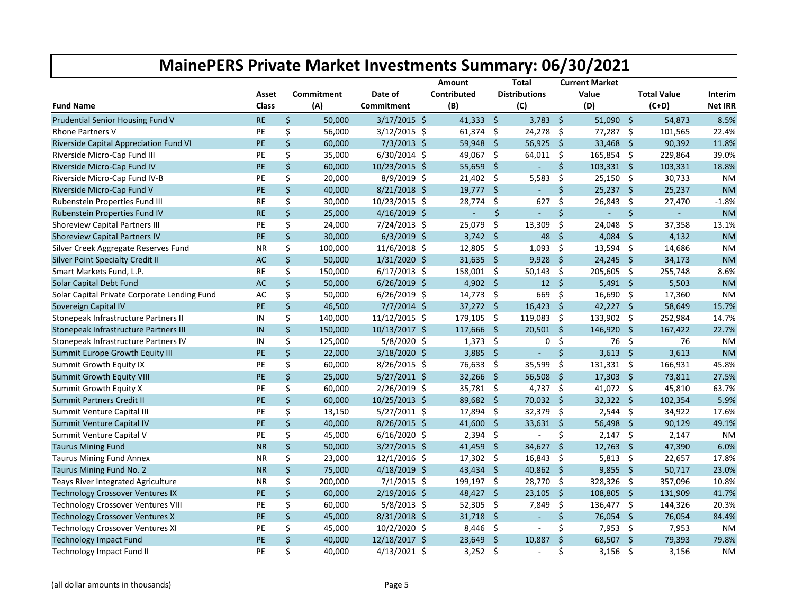|                                              |           |                   |                 | Amount      |      | <b>Total</b>         |                    | <b>Current Market</b> |              |                    |                |
|----------------------------------------------|-----------|-------------------|-----------------|-------------|------|----------------------|--------------------|-----------------------|--------------|--------------------|----------------|
|                                              | Asset     | <b>Commitment</b> | Date of         | Contributed |      | <b>Distributions</b> |                    | Value                 |              | <b>Total Value</b> | Interim        |
| <b>Fund Name</b>                             | Class     | (A)               | Commitment      | (B)         |      | (C)                  |                    | (D)                   |              | $(C+D)$            | <b>Net IRR</b> |
| Prudential Senior Housing Fund V             | <b>RE</b> | \$<br>50,000      | $3/17/2015$ \$  | $41,333$ \$ |      | $3,783$ \$           |                    | $51,090$ \$           |              | 54,873             | 8.5%           |
| <b>Rhone Partners V</b>                      | PE        | \$<br>56,000      | $3/12/2015$ \$  | $61,374$ \$ |      | $24,278$ \$          |                    | 77,287 \$             |              | 101,565            | 22.4%          |
| Riverside Capital Appreciation Fund VI       | PE        | \$<br>60,000      | $7/3/2013$ \$   | 59,948      | - \$ | 56,925               | - \$               | 33,468                | Ŝ.           | 90,392             | 11.8%          |
| Riverside Micro-Cap Fund III                 | PE        | \$<br>35,000      | 6/30/2014 \$    | 49,067 \$   |      | $64,011$ \$          |                    | 165,854 \$            |              | 229,864            | 39.0%          |
| Riverside Micro-Cap Fund IV                  | PE        | \$<br>60,000      | 10/23/2015 \$   | 55,659      | - \$ | $\blacksquare$       | \$                 | $103,331$ \$          |              | 103,331            | 18.8%          |
| Riverside Micro-Cap Fund IV-B                | PE        | \$<br>20,000      | 8/9/2019 \$     | $21,402$ \$ |      | 5,583                | \$                 | $25,150$ \$           |              | 30,733             | <b>NM</b>      |
| Riverside Micro-Cap Fund V                   | PE        | \$<br>40,000      | 8/21/2018 \$    | $19,777$ \$ |      | $\blacksquare$       | Ś.                 | $25,237$ \$           |              | 25,237             | <b>NM</b>      |
| Rubenstein Properties Fund III               | <b>RE</b> | \$<br>30,000      | 10/23/2015 \$   | 28,774 \$   |      | 627                  | $\zeta$            | 26,843 \$             |              | 27,470             | $-1.8%$        |
| Rubenstein Properties Fund IV                | <b>RE</b> | \$<br>25,000      | $4/16/2019$ \$  | ÷.          | \$   | $\sim$               | $\mathsf{\dot{S}}$ | $\omega$              | \$           | $\omega$           | <b>NM</b>      |
| <b>Shoreview Capital Partners III</b>        | PE        | \$<br>24,000      | 7/24/2013 \$    | 25,079      | -\$  | 13,309               | \$                 | 24,048 \$             |              | 37,358             | 13.1%          |
| <b>Shoreview Capital Partners IV</b>         | PE        | \$<br>30,000      | $6/3/2019$ \$   | $3,742$ \$  |      | 48                   | Ŝ.                 | 4,084                 | Ŝ.           | 4,132              | <b>NM</b>      |
| Silver Creek Aggregate Reserves Fund         | <b>NR</b> | \$<br>100,000     | 11/6/2018 \$    | 12,805      | -\$  | 1,093                | \$                 | $13,594$ \$           |              | 14,686             | <b>NM</b>      |
| <b>Silver Point Specialty Credit II</b>      | AC        | \$<br>50,000      | $1/31/2020$ \$  | $31,635$ \$ |      | 9,928                | - \$               | 24,245                | -\$          | 34,173             | <b>NM</b>      |
| Smart Markets Fund, L.P.                     | RE        | \$<br>150,000     | $6/17/2013$ \$  | 158,001 \$  |      | 50,143               | - \$               | 205,605 \$            |              | 255,748            | 8.6%           |
| Solar Capital Debt Fund                      | AC        | \$<br>50,000      | $6/26/2019$ \$  | 4,902 \$    |      | $12 \quad $$         |                    | $5,491$ \$            |              | 5,503              | <b>NM</b>      |
| Solar Capital Private Corporate Lending Fund | AC        | \$<br>50,000      | $6/26/2019$ \$  | $14,773$ \$ |      | 669                  | \$                 | 16,690 \$             |              | 17,360             | <b>NM</b>      |
| Sovereign Capital IV                         | <b>PE</b> | \$<br>46,500      | $7/7/2014$ \$   | 37,272 \$   |      | 16,423               | - \$               | 42,227 \$             |              | 58,649             | 15.7%          |
| Stonepeak Infrastructure Partners II         | IN        | \$<br>140,000     | 11/12/2015 \$   | 179,105 \$  |      | 119,083              | - \$               | 133,902 \$            |              | 252,984            | 14.7%          |
| Stonepeak Infrastructure Partners III        | IN        | \$<br>150,000     | $10/13/2017$ \$ | 117,666     | -\$  | 20,501               | $\mathsf{S}$       | 146,920               | Ŝ.           | 167,422            | 22.7%          |
| Stonepeak Infrastructure Partners IV         | IN        | \$<br>125,000     | 5/8/2020 \$     | $1,373$ \$  |      | 0                    | \$                 | 76 \$                 |              | 76                 | <b>NM</b>      |
| Summit Europe Growth Equity III              | PE        | \$<br>22,000      | 3/18/2020 \$    | $3,885$ \$  |      | ÷,                   | Ś.                 | $3,613$ \$            |              | 3,613              | <b>NM</b>      |
| Summit Growth Equity IX                      | PE        | \$<br>60,000      | 8/26/2015 \$    | 76,633      | -\$  | 35,599               | \$                 | 131,331 \$            |              | 166,931            | 45.8%          |
| <b>Summit Growth Equity VIII</b>             | <b>PE</b> | \$<br>25,000      | $5/27/2011$ \$  | $32,266$ \$ |      | 56,508               | - \$               | $17,303$ \$           |              | 73,811             | 27.5%          |
| Summit Growth Equity X                       | PE        | \$<br>60,000      | 2/26/2019 \$    | 35,781 \$   |      | 4,737 \$             |                    | 41,072 \$             |              | 45,810             | 63.7%          |
| <b>Summit Partners Credit II</b>             | <b>PE</b> | \$<br>60,000      | 10/25/2013 \$   | 89,682 \$   |      | 70,032               | Ŝ.                 | 32,322                | $\mathsf{S}$ | 102,354            | 5.9%           |
| Summit Venture Capital III                   | PE        | \$<br>13,150      | $5/27/2011$ \$  | 17,894      | -\$  | 32,379               | - \$               | $2,544$ \$            |              | 34,922             | 17.6%          |
| Summit Venture Capital IV                    | PE        | \$<br>40,000      | $8/26/2015$ \$  | 41,600      | -\$  | 33,631               | $\mathsf{S}$       | 56,498                | $\mathsf{S}$ | 90,129             | 49.1%          |
| Summit Venture Capital V                     | PE        | \$<br>45,000      | $6/16/2020$ \$  | 2,394       | - \$ | $\blacksquare$       | \$                 | $2,147$ \$            |              | 2,147              | <b>NM</b>      |
| <b>Taurus Mining Fund</b>                    | <b>NR</b> | \$<br>50,000      | $3/27/2015$ \$  | $41,459$ \$ |      | 34,627 \$            |                    | $12,763$ \$           |              | 47,390             | 6.0%           |
| <b>Taurus Mining Fund Annex</b>              | <b>NR</b> | \$<br>23,000      | 12/1/2016 \$    | 17,302 \$   |      | $16,843 \quad $$     |                    | $5,813$ \$            |              | 22,657             | 17.8%          |
| Taurus Mining Fund No. 2                     | <b>NR</b> | \$<br>75,000      | 4/18/2019 \$    | 43,434 \$   |      | 40,862 \$            |                    | $9,855$ \$            |              | 50,717             | 23.0%          |
| Teays River Integrated Agriculture           | <b>NR</b> | \$<br>200,000     | $7/1/2015$ \$   | 199,197 \$  |      | 28,770 \$            |                    | 328,326               | \$           | 357,096            | 10.8%          |
| <b>Technology Crossover Ventures IX</b>      | <b>PE</b> | \$<br>60,000      | 2/19/2016 \$    | 48,427      | - \$ | 23,105               | $\mathsf{S}$       | 108,805               | $\mathsf{S}$ | 131,909            | 41.7%          |
| <b>Technology Crossover Ventures VIII</b>    | PE        | \$<br>60,000      | $5/8/2013$ \$   | 52,305      | -\$  | 7,849                | \$                 | 136,477 \$            |              | 144,326            | 20.3%          |
| <b>Technology Crossover Ventures X</b>       | PE        | \$<br>45,000      | 8/31/2018 \$    | $31,718$ \$ |      | $\blacksquare$       | Ŝ.                 | 76,054                | Ŝ.           | 76,054             | 84.4%          |
| <b>Technology Crossover Ventures XI</b>      | PE        | \$<br>45,000      | 10/2/2020 \$    | $8,446$ \$  |      | $\sim$               | \$                 | $7,953$ \$            |              | 7,953              | <b>NM</b>      |
| <b>Technology Impact Fund</b>                | <b>PE</b> | \$<br>40,000      | 12/18/2017 \$   | 23,649 \$   |      | 10,887               | $\zeta$            | 68,507 \$             |              | 79,393             | 79.8%          |
| Technology Impact Fund II                    | PE        | \$<br>40,000      | $4/13/2021$ \$  | $3,252$ \$  |      |                      | \$                 | $3,156$ \$            |              | 3,156              | <b>NM</b>      |